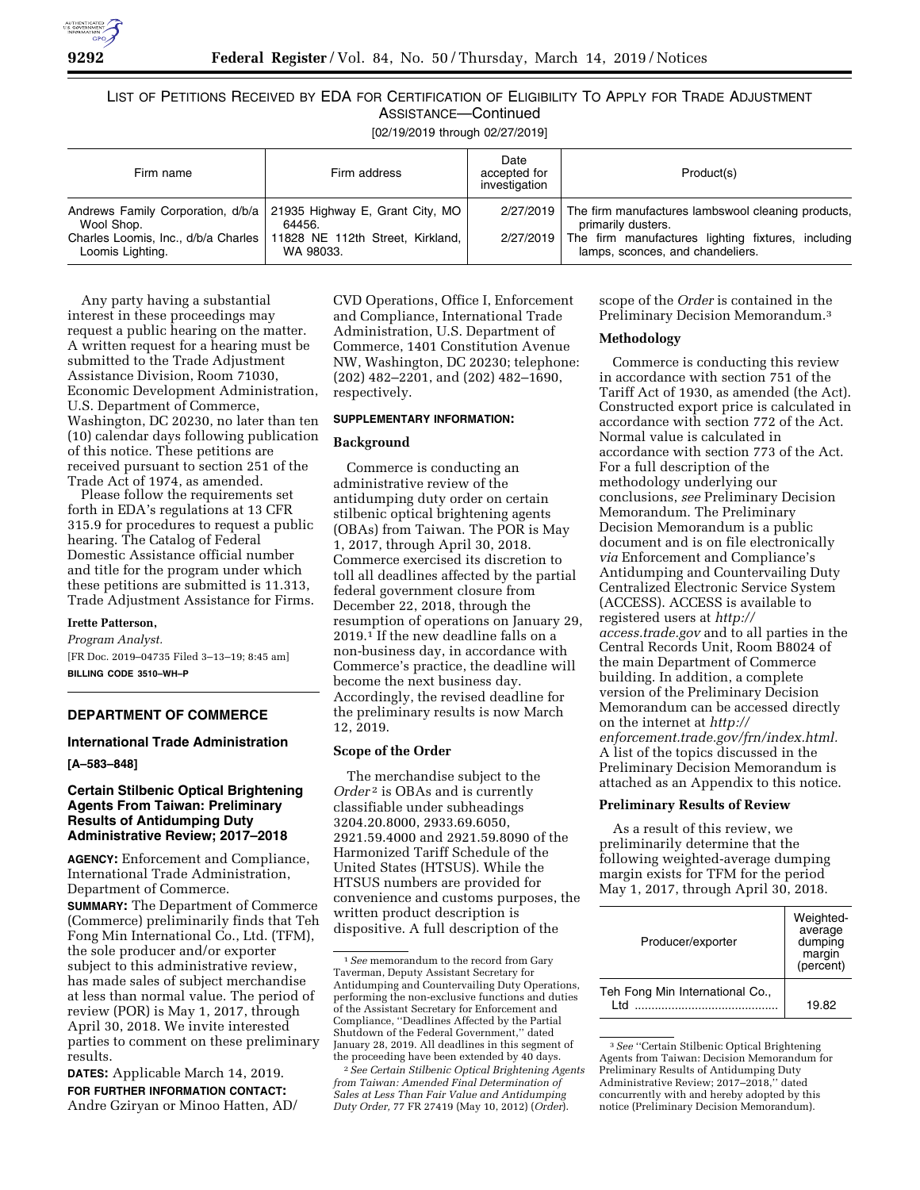

LIST OF PETITIONS RECEIVED BY EDA FOR CERTIFICATION OF ELIGIBILITY TO APPLY FOR TRADE ADJUSTMENT ASSISTANCE—Continued [02/19/2019 through 02/27/2019]

| Firm name                      | Firm address                                                                                                                                                           | Date<br>accepted for<br>investigation | Product(s)                                                                                                                                                                             |
|--------------------------------|------------------------------------------------------------------------------------------------------------------------------------------------------------------------|---------------------------------------|----------------------------------------------------------------------------------------------------------------------------------------------------------------------------------------|
| Wool Shop.<br>Loomis Lighting. | Andrews Family Corporation, d/b/a   21935 Highway E, Grant City, MO  <br>64456.<br>Charles Loomis, Inc., d/b/a Charles   11828 NE 112th Street, Kirkland,<br>WA 98033. |                                       | 2/27/2019 The firm manufactures lambswool cleaning products,<br>primarily dusters.<br>2/27/2019 The firm manufactures lighting fixtures, including<br>lamps, sconces, and chandeliers. |

Any party having a substantial interest in these proceedings may request a public hearing on the matter. A written request for a hearing must be submitted to the Trade Adjustment Assistance Division, Room 71030, Economic Development Administration, U.S. Department of Commerce, Washington, DC 20230, no later than ten (10) calendar days following publication of this notice. These petitions are received pursuant to section 251 of the Trade Act of 1974, as amended.

Please follow the requirements set forth in EDA's regulations at 13 CFR 315.9 for procedures to request a public hearing. The Catalog of Federal Domestic Assistance official number and title for the program under which these petitions are submitted is 11.313, Trade Adjustment Assistance for Firms.

# **Irette Patterson,**

*Program Analyst.*  [FR Doc. 2019–04735 Filed 3–13–19; 8:45 am] **BILLING CODE 3510–WH–P** 

# **DEPARTMENT OF COMMERCE**

# **International Trade Administration**

**[A–583–848]** 

# **Certain Stilbenic Optical Brightening Agents From Taiwan: Preliminary Results of Antidumping Duty Administrative Review; 2017–2018**

**AGENCY:** Enforcement and Compliance, International Trade Administration, Department of Commerce.

**SUMMARY:** The Department of Commerce (Commerce) preliminarily finds that Teh Fong Min International Co., Ltd. (TFM), the sole producer and/or exporter subject to this administrative review, has made sales of subject merchandise at less than normal value. The period of review (POR) is May 1, 2017, through April 30, 2018. We invite interested parties to comment on these preliminary results.

**DATES:** Applicable March 14, 2019. **FOR FURTHER INFORMATION CONTACT:**  Andre Gziryan or Minoo Hatten, AD/

CVD Operations, Office I, Enforcement and Compliance, International Trade Administration, U.S. Department of Commerce, 1401 Constitution Avenue NW, Washington, DC 20230; telephone: (202) 482–2201, and (202) 482–1690, respectively.

### **SUPPLEMENTARY INFORMATION:**

### **Background**

Commerce is conducting an administrative review of the antidumping duty order on certain stilbenic optical brightening agents (OBAs) from Taiwan. The POR is May 1, 2017, through April 30, 2018. Commerce exercised its discretion to toll all deadlines affected by the partial federal government closure from December 22, 2018, through the resumption of operations on January 29, 2019.1 If the new deadline falls on a non-business day, in accordance with Commerce's practice, the deadline will become the next business day. Accordingly, the revised deadline for the preliminary results is now March 12, 2019.

# **Scope of the Order**

The merchandise subject to the *Order*<sup>2</sup> is OBAs and is currently classifiable under subheadings 3204.20.8000, 2933.69.6050, 2921.59.4000 and 2921.59.8090 of the Harmonized Tariff Schedule of the United States (HTSUS). While the HTSUS numbers are provided for convenience and customs purposes, the written product description is dispositive. A full description of the

2*See Certain Stilbenic Optical Brightening Agents from Taiwan: Amended Final Determination of Sales at Less Than Fair Value and Antidumping Duty Order,* 77 FR 27419 (May 10, 2012) (*Order*).

scope of the *Order* is contained in the Preliminary Decision Memorandum.3

#### **Methodology**

Commerce is conducting this review in accordance with section 751 of the Tariff Act of 1930, as amended (the Act). Constructed export price is calculated in accordance with section 772 of the Act. Normal value is calculated in accordance with section 773 of the Act. For a full description of the methodology underlying our conclusions, *see* Preliminary Decision Memorandum. The Preliminary Decision Memorandum is a public document and is on file electronically *via* Enforcement and Compliance's Antidumping and Countervailing Duty Centralized Electronic Service System (ACCESS). ACCESS is available to registered users at *[http://](http://access.trade.gov) [access.trade.gov](http://access.trade.gov)* and to all parties in the Central Records Unit, Room B8024 of the main Department of Commerce building. In addition, a complete version of the Preliminary Decision Memorandum can be accessed directly on the internet at *[http://](http://enforcement.trade.gov/frn/index.html) [enforcement.trade.gov/frn/index.html.](http://enforcement.trade.gov/frn/index.html)*  A list of the topics discussed in the Preliminary Decision Memorandum is attached as an Appendix to this notice.

#### **Preliminary Results of Review**

As a result of this review, we preliminarily determine that the following weighted-average dumping margin exists for TFM for the period May 1, 2017, through April 30, 2018.

| Producer/exporter                       | Weighted-<br>average<br>dumping<br>margin<br>(percent) |
|-----------------------------------------|--------------------------------------------------------|
| Teh Fong Min International Co.,<br>ht I | 19.82                                                  |

3*See* ''Certain Stilbenic Optical Brightening Agents from Taiwan: Decision Memorandum for Preliminary Results of Antidumping Duty Administrative Review; 2017–2018,'' dated concurrently with and hereby adopted by this notice (Preliminary Decision Memorandum).

<sup>1</sup>*See* memorandum to the record from Gary Taverman, Deputy Assistant Secretary for Antidumping and Countervailing Duty Operations, performing the non-exclusive functions and duties of the Assistant Secretary for Enforcement and Compliance, ''Deadlines Affected by the Partial Shutdown of the Federal Government,'' dated January 28, 2019. All deadlines in this segment of the proceeding have been extended by 40 days.